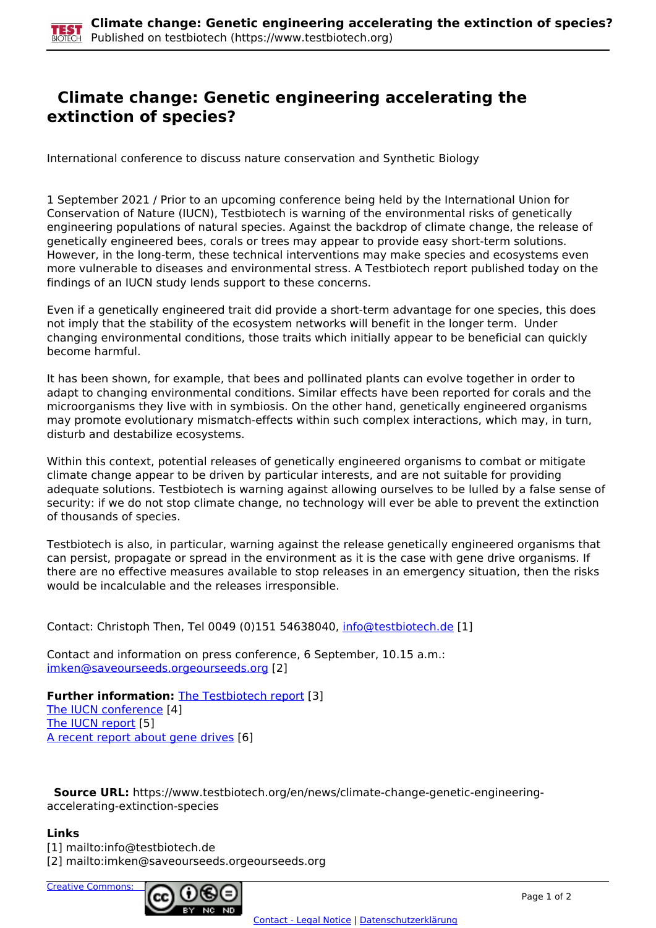## **Climate change: Genetic engineering accelerating the extinction of species?**

International conference to discuss nature conservation and Synthetic Biology

1 September 2021 / Prior to an upcoming conference being held by the International Union for Conservation of Nature (IUCN), Testbiotech is warning of the environmental risks of genetically engineering populations of natural species. Against the backdrop of climate change, the release of genetically engineered bees, corals or trees may appear to provide easy short-term solutions. However, in the long-term, these technical interventions may make species and ecosystems even more vulnerable to diseases and environmental stress. A Testbiotech report published today on the findings of an IUCN study lends support to these concerns.

Even if a genetically engineered trait did provide a short-term advantage for one species, this does not imply that the stability of the ecosystem networks will benefit in the longer term. Under changing environmental conditions, those traits which initially appear to be beneficial can quickly become harmful.

It has been shown, for example, that bees and pollinated plants can evolve together in order to adapt to changing environmental conditions. Similar effects have been reported for corals and the microorganisms they live with in symbiosis. On the other hand, genetically engineered organisms may promote evolutionary mismatch-effects within such complex interactions, which may, in turn, disturb and destabilize ecosystems.

Within this context, potential releases of genetically engineered organisms to combat or mitigate climate change appear to be driven by particular interests, and are not suitable for providing adequate solutions. Testbiotech is warning against allowing ourselves to be lulled by a false sense of security: if we do not stop climate change, no technology will ever be able to prevent the extinction of thousands of species.

Testbiotech is also, in particular, warning against the release genetically engineered organisms that can persist, propagate or spread in the environment as it is the case with gene drive organisms. If there are no effective measures available to stop releases in an emergency situation, then the risks would be incalculable and the releases irresponsible.

Contact: Christoph Then, Tel 0049 (0)151 54638040, [info@testbiotech.de](mailto:info@testbiotech.de) [1]

Contact and information on press conference, 6 September, 10.15 a.m.: imken@saveourseeds.orgeourseeds.org [2]

**Further information: The Testbiotech report [3]** The IUCN conference [4] The IUCN report [5] A recent report about gene drives [6]

 **Source URL:** https://www.testbiotech.org/en/news/climate-change-genetic-engineeringaccelerating-extinction-species

## **Links**

[1] mailto:info@testbiotech.de

[2] mailto:imken@saveourseeds.orgeourseeds.org